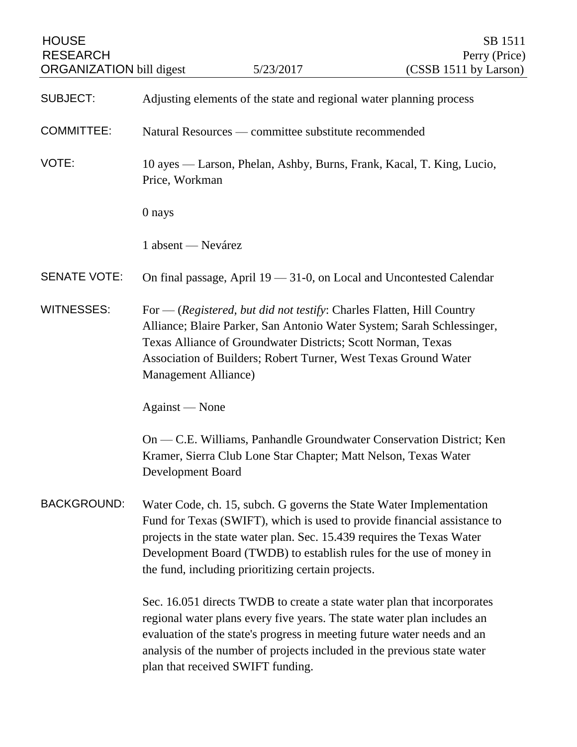| <b>HOUSE</b><br><b>RESEARCH</b><br><b>ORGANIZATION bill digest</b> |                                                                                                                                                                                                                                                                                                                                                        | 5/23/2017                                                                                                                                                                                                                                                                                                                                     | SB 1511<br>Perry (Price)<br>(CSSB 1511 by Larson)                    |
|--------------------------------------------------------------------|--------------------------------------------------------------------------------------------------------------------------------------------------------------------------------------------------------------------------------------------------------------------------------------------------------------------------------------------------------|-----------------------------------------------------------------------------------------------------------------------------------------------------------------------------------------------------------------------------------------------------------------------------------------------------------------------------------------------|----------------------------------------------------------------------|
|                                                                    |                                                                                                                                                                                                                                                                                                                                                        |                                                                                                                                                                                                                                                                                                                                               |                                                                      |
| <b>SUBJECT:</b>                                                    | Adjusting elements of the state and regional water planning process                                                                                                                                                                                                                                                                                    |                                                                                                                                                                                                                                                                                                                                               |                                                                      |
| <b>COMMITTEE:</b>                                                  | Natural Resources — committee substitute recommended                                                                                                                                                                                                                                                                                                   |                                                                                                                                                                                                                                                                                                                                               |                                                                      |
| VOTE:                                                              | 10 ayes — Larson, Phelan, Ashby, Burns, Frank, Kacal, T. King, Lucio,<br>Price, Workman                                                                                                                                                                                                                                                                |                                                                                                                                                                                                                                                                                                                                               |                                                                      |
|                                                                    | 0 nays                                                                                                                                                                                                                                                                                                                                                 |                                                                                                                                                                                                                                                                                                                                               |                                                                      |
|                                                                    | 1 absent — Nevárez                                                                                                                                                                                                                                                                                                                                     |                                                                                                                                                                                                                                                                                                                                               |                                                                      |
| <b>SENATE VOTE:</b>                                                |                                                                                                                                                                                                                                                                                                                                                        | On final passage, April 19 - 31-0, on Local and Uncontested Calendar                                                                                                                                                                                                                                                                          |                                                                      |
| <b>WITNESSES:</b>                                                  | Management Alliance)                                                                                                                                                                                                                                                                                                                                   | For — (Registered, but did not testify: Charles Flatten, Hill Country<br>Alliance; Blaire Parker, San Antonio Water System; Sarah Schlessinger,<br>Texas Alliance of Groundwater Districts; Scott Norman, Texas<br>Association of Builders; Robert Turner, West Texas Ground Water                                                            |                                                                      |
|                                                                    | Against — None                                                                                                                                                                                                                                                                                                                                         |                                                                                                                                                                                                                                                                                                                                               |                                                                      |
|                                                                    | Development Board                                                                                                                                                                                                                                                                                                                                      | Kramer, Sierra Club Lone Star Chapter; Matt Nelson, Texas Water                                                                                                                                                                                                                                                                               | On — C.E. Williams, Panhandle Groundwater Conservation District; Ken |
| <b>BACKGROUND:</b>                                                 | Water Code, ch. 15, subch. G governs the State Water Implementation<br>Fund for Texas (SWIFT), which is used to provide financial assistance to<br>projects in the state water plan. Sec. 15.439 requires the Texas Water<br>Development Board (TWDB) to establish rules for the use of money in<br>the fund, including prioritizing certain projects. |                                                                                                                                                                                                                                                                                                                                               |                                                                      |
|                                                                    |                                                                                                                                                                                                                                                                                                                                                        | Sec. 16.051 directs TWDB to create a state water plan that incorporates<br>regional water plans every five years. The state water plan includes an<br>evaluation of the state's progress in meeting future water needs and an<br>analysis of the number of projects included in the previous state water<br>plan that received SWIFT funding. |                                                                      |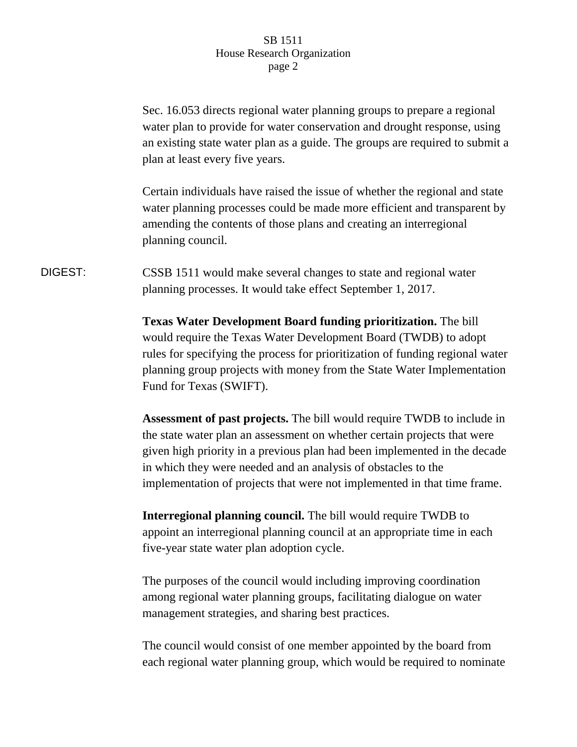## SB 1511 House Research Organization page 2

Sec. 16.053 directs regional water planning groups to prepare a regional water plan to provide for water conservation and drought response, using an existing state water plan as a guide. The groups are required to submit a plan at least every five years.

Certain individuals have raised the issue of whether the regional and state water planning processes could be made more efficient and transparent by amending the contents of those plans and creating an interregional planning council.

## DIGEST: CSSB 1511 would make several changes to state and regional water planning processes. It would take effect September 1, 2017.

**Texas Water Development Board funding prioritization.** The bill would require the Texas Water Development Board (TWDB) to adopt rules for specifying the process for prioritization of funding regional water planning group projects with money from the State Water Implementation Fund for Texas (SWIFT).

**Assessment of past projects.** The bill would require TWDB to include in the state water plan an assessment on whether certain projects that were given high priority in a previous plan had been implemented in the decade in which they were needed and an analysis of obstacles to the implementation of projects that were not implemented in that time frame.

**Interregional planning council.** The bill would require TWDB to appoint an interregional planning council at an appropriate time in each five-year state water plan adoption cycle.

The purposes of the council would including improving coordination among regional water planning groups, facilitating dialogue on water management strategies, and sharing best practices.

The council would consist of one member appointed by the board from each regional water planning group, which would be required to nominate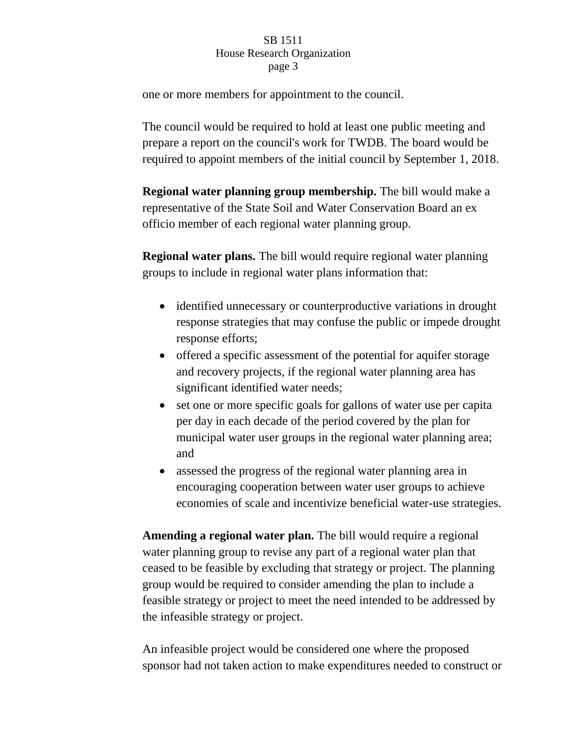## SB 1511 House Research Organization page 3

one or more members for appointment to the council.

The council would be required to hold at least one public meeting and prepare a report on the council's work for TWDB. The board would be required to appoint members of the initial council by September 1, 2018.

**Regional water planning group membership.** The bill would make a representative of the State Soil and Water Conservation Board an ex officio member of each regional water planning group.

**Regional water plans.** The bill would require regional water planning groups to include in regional water plans information that:

- identified unnecessary or counterproductive variations in drought response strategies that may confuse the public or impede drought response efforts;
- offered a specific assessment of the potential for aquifer storage and recovery projects, if the regional water planning area has significant identified water needs;
- set one or more specific goals for gallons of water use per capita per day in each decade of the period covered by the plan for municipal water user groups in the regional water planning area; and
- assessed the progress of the regional water planning area in encouraging cooperation between water user groups to achieve economies of scale and incentivize beneficial water-use strategies.

**Amending a regional water plan.** The bill would require a regional water planning group to revise any part of a regional water plan that ceased to be feasible by excluding that strategy or project. The planning group would be required to consider amending the plan to include a feasible strategy or project to meet the need intended to be addressed by the infeasible strategy or project.

An infeasible project would be considered one where the proposed sponsor had not taken action to make expenditures needed to construct or